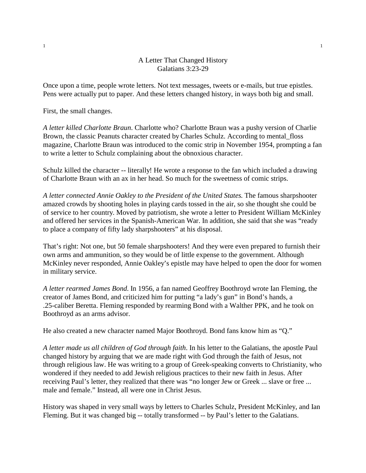## A Letter That Changed History Galatians 3:23-29

Once upon a time, people wrote letters. Not text messages, tweets or e-mails, but true epistles. Pens were actually put to paper. And these letters changed history, in ways both big and small.

First, the small changes.

*A letter killed Charlotte Braun*. Charlotte who? Charlotte Braun was a pushy version of Charlie Brown, the classic Peanuts character created by Charles Schulz. According to mental\_floss magazine, Charlotte Braun was introduced to the comic strip in November 1954, prompting a fan to write a letter to Schulz complaining about the obnoxious character.

Schulz killed the character -- literally! He wrote a response to the fan which included a drawing of Charlotte Braun with an ax in her head. So much for the sweetness of comic strips.

*A letter connected Annie Oakley to the President of the United States*. The famous sharpshooter amazed crowds by shooting holes in playing cards tossed in the air, so she thought she could be of service to her country. Moved by patriotism, she wrote a letter to President William McKinley and offered her services in the Spanish-American War. In addition, she said that she was "ready to place a company of fifty lady sharpshooters" at his disposal.

That's right: Not one, but 50 female sharpshooters! And they were even prepared to furnish their own arms and ammunition, so they would be of little expense to the government. Although McKinley never responded, Annie Oakley's epistle may have helped to open the door for women in military service.

*A letter rearmed James Bond*. In 1956, a fan named Geoffrey Boothroyd wrote Ian Fleming, the creator of James Bond, and criticized him for putting "a lady's gun" in Bond's hands, a .25-caliber Beretta. Fleming responded by rearming Bond with a Walther PPK, and he took on Boothroyd as an arms advisor.

He also created a new character named Major Boothroyd. Bond fans know him as "Q."

*A letter made us all children of God through faith*. In his letter to the Galatians, the apostle Paul changed history by arguing that we are made right with God through the faith of Jesus, not through religious law. He was writing to a group of Greek-speaking converts to Christianity, who wondered if they needed to add Jewish religious practices to their new faith in Jesus. After receiving Paul's letter, they realized that there was "no longer Jew or Greek ... slave or free ... male and female." Instead, all were one in Christ Jesus.

History was shaped in very small ways by letters to Charles Schulz, President McKinley, and Ian Fleming. But it was changed big -- totally transformed -- by Paul's letter to the Galatians.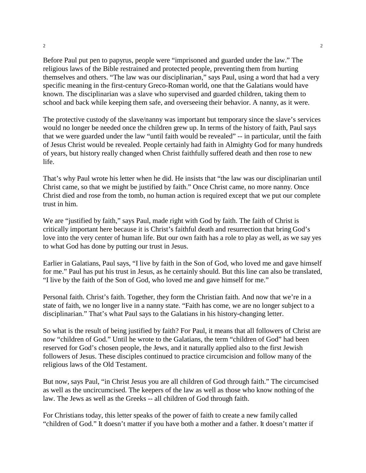Before Paul put pen to papyrus, people were "imprisoned and guarded under the law." The religious laws of the Bible restrained and protected people, preventing them from hurting themselves and others. "The law was our disciplinarian," says Paul, using a word that had a very specific meaning in the first-century Greco-Roman world, one that the Galatians would have known. The disciplinarian was a slave who supervised and guarded children, taking them to school and back while keeping them safe, and overseeing their behavior. A nanny, as it were.

The protective custody of the slave/nanny was important but temporary since the slave's services would no longer be needed once the children grew up. In terms of the history of faith, Paul says that we were guarded under the law "until faith would be revealed" -- in particular, until the faith of Jesus Christ would be revealed. People certainly had faith in Almighty God for many hundreds of years, but history really changed when Christ faithfully suffered death and then rose to new life.

That's why Paul wrote his letter when he did. He insists that "the law was our disciplinarian until Christ came, so that we might be justified by faith." Once Christ came, no more nanny. Once Christ died and rose from the tomb, no human action is required except that we put our complete trust in him.

We are "justified by faith," says Paul, made right with God by faith. The faith of Christ is critically important here because it is Christ's faithful death and resurrection that bring God's love into the very center of human life. But our own faith has a role to play as well, as we say yes to what God has done by putting our trust in Jesus.

Earlier in Galatians, Paul says, "I live by faith in the Son of God, who loved me and gave himself for me." Paul has put his trust in Jesus, as he certainly should. But this line can also be translated, "I live by the faith of the Son of God, who loved me and gave himself for me."

Personal faith. Christ's faith. Together, they form the Christian faith. And now that we're in a state of faith, we no longer live in a nanny state. "Faith has come, we are no longer subject to a disciplinarian." That's what Paul says to the Galatians in his history-changing letter.

So what is the result of being justified by faith? For Paul, it means that all followers of Christ are now "children of God." Until he wrote to the Galatians, the term "children of God" had been reserved for God's chosen people, the Jews, and it naturally applied also to the first Jewish followers of Jesus. These disciples continued to practice circumcision and follow many of the religious laws of the Old Testament.

But now, says Paul, "in Christ Jesus you are all children of God through faith." The circumcised as well as the uncircumcised. The keepers of the law as well as those who know nothing of the law. The Jews as well as the Greeks -- all children of God through faith.

For Christians today, this letter speaks of the power of faith to create a new family called "children of God." It doesn't matter if you have both a mother and a father. It doesn't matter if